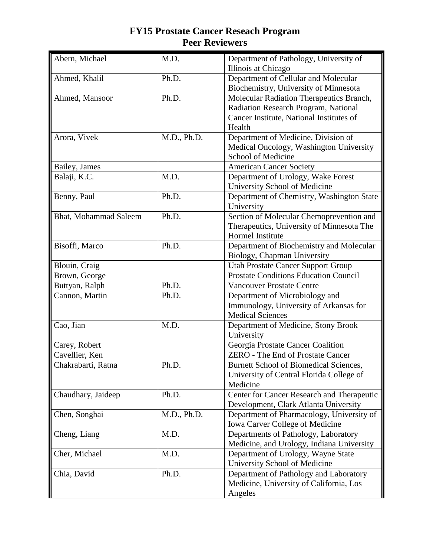| Abern, Michael               | M.D.        | Department of Pathology, University of<br>Illinois at Chicago |
|------------------------------|-------------|---------------------------------------------------------------|
| Ahmed, Khalil                | Ph.D.       | Department of Cellular and Molecular                          |
|                              |             | Biochemistry, University of Minnesota                         |
| Ahmed, Mansoor               | Ph.D.       | Molecular Radiation Therapeutics Branch,                      |
|                              |             | Radiation Research Program, National                          |
|                              |             | Cancer Institute, National Institutes of                      |
|                              |             | Health                                                        |
| Arora, Vivek                 | M.D., Ph.D. | Department of Medicine, Division of                           |
|                              |             | Medical Oncology, Washington University                       |
|                              |             | School of Medicine                                            |
| Bailey, James                |             | <b>American Cancer Society</b>                                |
| Balaji, K.C.                 | M.D.        | Department of Urology, Wake Forest                            |
|                              |             | University School of Medicine                                 |
| Benny, Paul                  | Ph.D.       | Department of Chemistry, Washington State                     |
|                              |             | University                                                    |
| <b>Bhat, Mohammad Saleem</b> | Ph.D.       | Section of Molecular Chemoprevention and                      |
|                              |             | Therapeutics, University of Minnesota The                     |
|                              |             | Hormel Institute                                              |
| Bisoffi, Marco               | Ph.D.       | Department of Biochemistry and Molecular                      |
|                              |             | Biology, Chapman University                                   |
| Blouin, Craig                |             | <b>Utah Prostate Cancer Support Group</b>                     |
| Brown, George                |             | <b>Prostate Conditions Education Council</b>                  |
| Buttyan, Ralph               | Ph.D.       | <b>Vancouver Prostate Centre</b>                              |
| Cannon, Martin               | Ph.D.       | Department of Microbiology and                                |
|                              |             | Immunology, University of Arkansas for                        |
|                              |             | <b>Medical Sciences</b>                                       |
| Cao, Jian                    | M.D.        | Department of Medicine, Stony Brook                           |
|                              |             | University                                                    |
| Carey, Robert                |             | Georgia Prostate Cancer Coalition                             |
| Cavellier, Ken               |             | <b>ZERO</b> - The End of Prostate Cancer                      |
| Chakrabarti, Ratna           | Ph.D.       | <b>Burnett School of Biomedical Sciences,</b>                 |
|                              |             | University of Central Florida College of                      |
|                              |             | Medicine                                                      |
| Chaudhary, Jaideep           | Ph.D.       | Center for Cancer Research and Therapeutic                    |
|                              |             | Development, Clark Atlanta University                         |
| Chen, Songhai                | M.D., Ph.D. | Department of Pharmacology, University of                     |
|                              |             | Iowa Carver College of Medicine                               |
| Cheng, Liang                 | M.D.        | Departments of Pathology, Laboratory                          |
|                              |             | Medicine, and Urology, Indiana University                     |
| Cher, Michael                | M.D.        | Department of Urology, Wayne State                            |
|                              |             | University School of Medicine                                 |
| Chia, David                  | Ph.D.       | Department of Pathology and Laboratory                        |
|                              |             | Medicine, University of California, Los                       |
|                              |             | Angeles                                                       |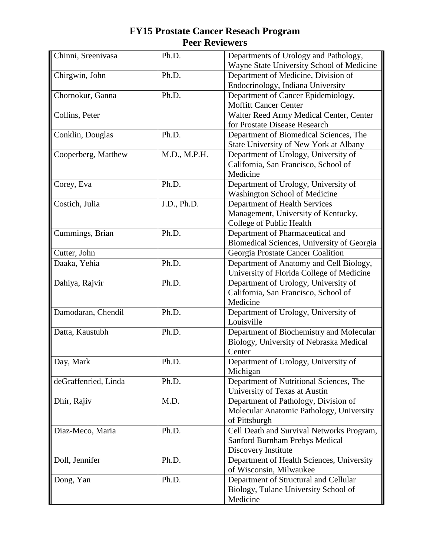| Chinni, Sreenivasa   | Ph.D.               | Departments of Urology and Pathology,<br>Wayne State University School of Medicine                 |
|----------------------|---------------------|----------------------------------------------------------------------------------------------------|
| Chirgwin, John       | Ph.D.               | Department of Medicine, Division of<br>Endocrinology, Indiana University                           |
| Chornokur, Ganna     | Ph.D.               | Department of Cancer Epidemiology,<br><b>Moffitt Cancer Center</b>                                 |
| Collins, Peter       |                     | Walter Reed Army Medical Center, Center<br>for Prostate Disease Research                           |
| Conklin, Douglas     | Ph.D.               | Department of Biomedical Sciences, The<br>State University of New York at Albany                   |
| Cooperberg, Matthew  | M.D., M.P.H.        | Department of Urology, University of<br>California, San Francisco, School of<br>Medicine           |
| Corey, Eva           | Ph.D.               | Department of Urology, University of<br>Washington School of Medicine                              |
| Costich, Julia       | J.D., Ph.D.         | Department of Health Services<br>Management, University of Kentucky,<br>College of Public Health   |
| Cummings, Brian      | $\overline{Ph}$ .D. | Department of Pharmaceutical and<br>Biomedical Sciences, University of Georgia                     |
| Cutter, John         |                     | Georgia Prostate Cancer Coalition                                                                  |
| Daaka, Yehia         | Ph.D.               | Department of Anatomy and Cell Biology,<br>University of Florida College of Medicine               |
| Dahiya, Rajvir       | Ph.D.               | Department of Urology, University of<br>California, San Francisco, School of<br>Medicine           |
| Damodaran, Chendil   | Ph.D.               | Department of Urology, University of<br>Louisville                                                 |
| Datta, Kaustubh      | Ph.D.               | Department of Biochemistry and Molecular<br>Biology, University of Nebraska Medical<br>Center      |
| Day, Mark            | Ph.D.               | Department of Urology, University of<br>Michigan                                                   |
| deGraffenried, Linda | Ph.D.               | Department of Nutritional Sciences, The<br>University of Texas at Austin                           |
| Dhir, Rajiv          | M.D.                | Department of Pathology, Division of<br>Molecular Anatomic Pathology, University<br>of Pittsburgh  |
| Diaz-Meco, Maria     | Ph.D.               | Cell Death and Survival Networks Program,<br>Sanford Burnham Prebys Medical<br>Discovery Institute |
| Doll, Jennifer       | Ph.D.               | Department of Health Sciences, University<br>of Wisconsin, Milwaukee                               |
| Dong, Yan            | Ph.D.               | Department of Structural and Cellular<br>Biology, Tulane University School of<br>Medicine          |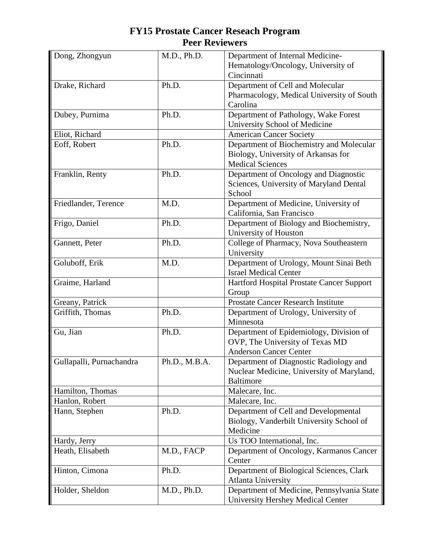| Dong, Zhongyun           | M.D., Ph.D.   | Department of Internal Medicine-           |
|--------------------------|---------------|--------------------------------------------|
|                          |               | Hematology/Oncology, University of         |
|                          |               | Cincinnati                                 |
| Drake, Richard           | Ph.D.         | Department of Cell and Molecular           |
|                          |               | Pharmacology, Medical University of South  |
|                          |               | Carolina                                   |
| Dubey, Purnima           | Ph.D.         | Department of Pathology, Wake Forest       |
|                          |               |                                            |
|                          |               | University School of Medicine              |
| Eliot, Richard           |               | <b>American Cancer Society</b>             |
| Eoff, Robert             | Ph.D.         | Department of Biochemistry and Molecular   |
|                          |               | Biology, University of Arkansas for        |
|                          |               | <b>Medical Sciences</b>                    |
| Franklin, Renty          | Ph.D.         | Department of Oncology and Diagnostic      |
|                          |               | Sciences, University of Maryland Dental    |
|                          |               | School                                     |
| Friedlander, Terence     | M.D.          | Department of Medicine, University of      |
|                          |               | California, San Francisco                  |
| Frigo, Daniel            | Ph.D.         | Department of Biology and Biochemistry,    |
|                          |               | University of Houston                      |
| Gannett, Peter           | Ph.D.         | College of Pharmacy, Nova Southeastern     |
|                          |               |                                            |
|                          |               | University                                 |
| Goluboff, Erik           | M.D.          | Department of Urology, Mount Sinai Beth    |
|                          |               | <b>Israel Medical Center</b>               |
| Graime, Harland          |               | Hartford Hospital Prostate Cancer Support  |
|                          |               | Group                                      |
| Greany, Patrick          |               | <b>Prostate Cancer Research Institute</b>  |
| Griffith, Thomas         | Ph.D.         | Department of Urology, University of       |
|                          |               | Minnesota                                  |
| Gu, Jian                 | Ph.D.         | Department of Epidemiology, Division of    |
|                          |               | OVP, The University of Texas MD            |
|                          |               | <b>Anderson Cancer Center</b>              |
| Gullapalli, Purnachandra | Ph.D., M.B.A. | Department of Diagnostic Radiology and     |
|                          |               | Nuclear Medicine, University of Maryland,  |
|                          |               | <b>Baltimore</b>                           |
| Hamilton, Thomas         |               |                                            |
|                          |               | Malecare, Inc.                             |
| Hanlon, Robert           |               | Malecare, Inc.                             |
| Hann, Stephen            | Ph.D.         | Department of Cell and Developmental       |
|                          |               | Biology, Vanderbilt University School of   |
|                          |               | Medicine                                   |
| Hardy, Jerry             |               | Us TOO International, Inc.                 |
| Heath, Elisabeth         | M.D., FACP    | Department of Oncology, Karmanos Cancer    |
|                          |               | Center                                     |
| Hinton, Cimona           | Ph.D.         | Department of Biological Sciences, Clark   |
|                          |               | <b>Atlanta University</b>                  |
| Holder, Sheldon          | M.D., Ph.D.   | Department of Medicine, Pennsylvania State |
|                          |               | University Hershey Medical Center          |
|                          |               |                                            |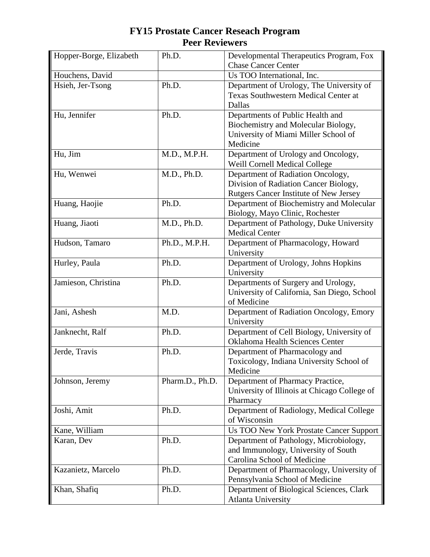| Hopper-Borge, Elizabeth | Ph.D.           | Developmental Therapeutics Program, Fox        |
|-------------------------|-----------------|------------------------------------------------|
|                         |                 | <b>Chase Cancer Center</b>                     |
| Houchens, David         |                 | Us TOO International, Inc.                     |
| Hsieh, Jer-Tsong        | Ph.D.           | Department of Urology, The University of       |
|                         |                 | <b>Texas Southwestern Medical Center at</b>    |
|                         |                 | Dallas                                         |
| Hu, Jennifer            | Ph.D.           | Departments of Public Health and               |
|                         |                 | Biochemistry and Molecular Biology,            |
|                         |                 | University of Miami Miller School of           |
|                         |                 | Medicine                                       |
| Hu, Jim                 | M.D., M.P.H.    | Department of Urology and Oncology,            |
|                         |                 | Weill Cornell Medical College                  |
| Hu, Wenwei              | M.D., Ph.D.     | Department of Radiation Oncology,              |
|                         |                 | Division of Radiation Cancer Biology,          |
|                         |                 | Rutgers Cancer Institute of New Jersey         |
| Huang, Haojie           | Ph.D.           | Department of Biochemistry and Molecular       |
|                         |                 | Biology, Mayo Clinic, Rochester                |
| Huang, Jiaoti           | M.D., Ph.D.     | Department of Pathology, Duke University       |
|                         |                 | <b>Medical Center</b>                          |
| Hudson, Tamaro          | Ph.D., M.P.H.   | Department of Pharmacology, Howard             |
|                         |                 | University                                     |
| Hurley, Paula           | Ph.D.           | Department of Urology, Johns Hopkins           |
|                         |                 | University                                     |
| Jamieson, Christina     | Ph.D.           | Departments of Surgery and Urology,            |
|                         |                 | University of California, San Diego, School    |
|                         |                 | of Medicine                                    |
| Jani, Ashesh            | M.D.            | Department of Radiation Oncology, Emory        |
|                         |                 | University                                     |
| Janknecht, Ralf         | Ph.D.           | Department of Cell Biology, University of      |
|                         |                 | <b>Oklahoma Health Sciences Center</b>         |
| Jerde, Travis           | Ph.D.           | Department of Pharmacology and                 |
|                         |                 | Toxicology, Indiana University School of       |
|                         |                 | Medicine                                       |
| Johnson, Jeremy         | Pharm.D., Ph.D. | Department of Pharmacy Practice,               |
|                         |                 | University of Illinois at Chicago College of   |
|                         |                 | Pharmacy                                       |
| Joshi, Amit             | Ph.D.           | Department of Radiology, Medical College       |
|                         |                 | of Wisconsin                                   |
| Kane, William           |                 | <b>Us TOO New York Prostate Cancer Support</b> |
| Karan, Dev              | Ph.D.           | Department of Pathology, Microbiology,         |
|                         |                 | and Immunology, University of South            |
|                         |                 | Carolina School of Medicine                    |
| Kazanietz, Marcelo      | Ph.D.           | Department of Pharmacology, University of      |
|                         |                 | Pennsylvania School of Medicine                |
| Khan, Shafiq            | Ph.D.           | Department of Biological Sciences, Clark       |
|                         |                 | <b>Atlanta University</b>                      |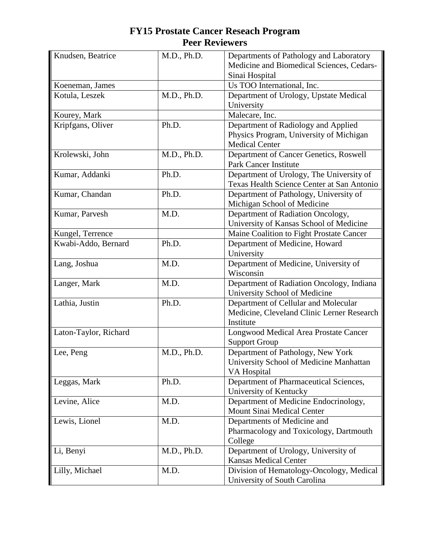| Knudsen, Beatrice     | M.D., Ph.D. | Departments of Pathology and Laboratory                              |
|-----------------------|-------------|----------------------------------------------------------------------|
|                       |             | Medicine and Biomedical Sciences, Cedars-<br>Sinai Hospital          |
| Koeneman, James       |             | Us TOO International, Inc.                                           |
| Kotula, Leszek        | M.D., Ph.D. | Department of Urology, Upstate Medical                               |
|                       |             | University                                                           |
| Kourey, Mark          |             | Malecare, Inc.                                                       |
| Kripfgans, Oliver     | Ph.D.       | Department of Radiology and Applied                                  |
|                       |             | Physics Program, University of Michigan                              |
|                       |             | <b>Medical Center</b>                                                |
| Krolewski, John       | M.D., Ph.D. | Department of Cancer Genetics, Roswell                               |
|                       |             | Park Cancer Institute                                                |
| Kumar, Addanki        | Ph.D.       | Department of Urology, The University of                             |
|                       |             | Texas Health Science Center at San Antonio                           |
| Kumar, Chandan        | Ph.D.       | Department of Pathology, University of                               |
|                       |             | Michigan School of Medicine                                          |
| Kumar, Parvesh        | M.D.        | Department of Radiation Oncology,                                    |
|                       |             | University of Kansas School of Medicine                              |
| Kungel, Terrence      |             | Maine Coalition to Fight Prostate Cancer                             |
| Kwabi-Addo, Bernard   | Ph.D.       | Department of Medicine, Howard                                       |
|                       |             | University                                                           |
| Lang, Joshua          | M.D.        | Department of Medicine, University of                                |
|                       |             | Wisconsin                                                            |
| Langer, Mark          | M.D.        | Department of Radiation Oncology, Indiana                            |
|                       |             | University School of Medicine                                        |
| Lathia, Justin        | Ph.D.       | Department of Cellular and Molecular                                 |
|                       |             | Medicine, Cleveland Clinic Lerner Research                           |
|                       |             | Institute                                                            |
| Laton-Taylor, Richard |             | <b>Longwood Medical Area Prostate Cancer</b><br><b>Support Group</b> |
| Lee, Peng             | M.D., Ph.D. | Department of Pathology, New York                                    |
|                       |             | University School of Medicine Manhattan                              |
|                       |             | VA Hospital                                                          |
| Leggas, Mark          | Ph.D.       | Department of Pharmaceutical Sciences,                               |
|                       |             | University of Kentucky                                               |
| Levine, Alice         | M.D.        | Department of Medicine Endocrinology,                                |
|                       |             | Mount Sinai Medical Center                                           |
| Lewis, Lionel         | M.D.        | Departments of Medicine and                                          |
|                       |             | Pharmacology and Toxicology, Dartmouth                               |
|                       |             | College                                                              |
| Li, Benyi             | M.D., Ph.D. | Department of Urology, University of                                 |
|                       |             | <b>Kansas Medical Center</b>                                         |
| Lilly, Michael        | M.D.        | Division of Hematology-Oncology, Medical                             |
|                       |             | University of South Carolina                                         |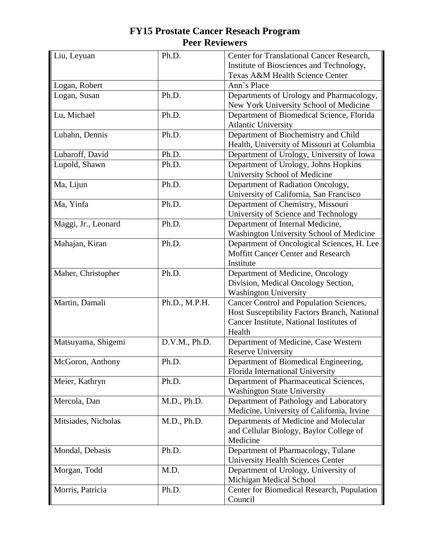| Liu, Leyuan         | Ph.D.         | Center for Translational Cancer Research,    |
|---------------------|---------------|----------------------------------------------|
|                     |               | Institute of Biosciences and Technology,     |
|                     |               | Texas A&M Health Science Center              |
| Logan, Robert       |               | Ann's Place                                  |
| Logan, Susan        | Ph.D.         | Departments of Urology and Pharmacology,     |
|                     |               | New York University School of Medicine       |
| Lu, Michael         | Ph.D.         | Department of Biomedical Science, Florida    |
|                     |               | <b>Atlantic University</b>                   |
| Lubahn, Dennis      | Ph.D.         | Department of Biochemistry and Child         |
|                     |               | Health, University of Missouri at Columbia   |
| Lubaroff, David     | Ph.D.         | Department of Urology, University of Iowa    |
| Lupold, Shawn       | Ph.D.         | Department of Urology, Johns Hopkins         |
|                     |               | University School of Medicine                |
| Ma, Lijun           | Ph.D.         | Department of Radiation Oncology,            |
|                     |               | University of California, San Francisco      |
| Ma, Yinfa           | Ph.D.         | Department of Chemistry, Missouri            |
|                     |               | University of Science and Technology         |
| Maggi, Jr., Leonard | Ph.D.         | Department of Internal Medicine,             |
|                     |               | Washington University School of Medicine     |
| Mahajan, Kiran      | Ph.D.         | Department of Oncological Sciences, H. Lee   |
|                     |               | Moffitt Cancer Center and Research           |
|                     |               | Institute                                    |
| Maher, Christopher  | Ph.D.         | Department of Medicine, Oncology             |
|                     |               | Division, Medical Oncology Section,          |
|                     |               | <b>Washington University</b>                 |
| Martin, Damali      | Ph.D., M.P.H. | Cancer Control and Population Sciences,      |
|                     |               | Host Susceptibility Factors Branch, National |
|                     |               | Cancer Institute, National Institutes of     |
|                     |               | Health                                       |
| Matsuyama, Shigemi  | D.V.M., Ph.D. | Department of Medicine, Case Western         |
|                     |               | <b>Reserve University</b>                    |
| McGoron, Anthony    | Ph.D.         | Department of Biomedical Engineering,        |
|                     |               | Florida International University             |
| Meier, Kathryn      | Ph.D.         | Department of Pharmaceutical Sciences,       |
|                     |               | <b>Washington State University</b>           |
| Mercola, Dan        | M.D., Ph.D.   | Department of Pathology and Laboratory       |
|                     |               | Medicine, University of California, Irvine   |
| Mitsiades, Nicholas | M.D., Ph.D.   | Departments of Medicine and Molecular        |
|                     |               | and Cellular Biology, Baylor College of      |
|                     |               | Medicine                                     |
| Mondal, Debasis     | Ph.D.         | Department of Pharmacology, Tulane           |
|                     |               | <b>University Health Sciences Center</b>     |
| Morgan, Todd        | M.D.          | Department of Urology, University of         |
|                     |               | Michigan Medical School                      |
| Morris, Patricia    | Ph.D.         | Center for Biomedical Research, Population   |
|                     |               | Council                                      |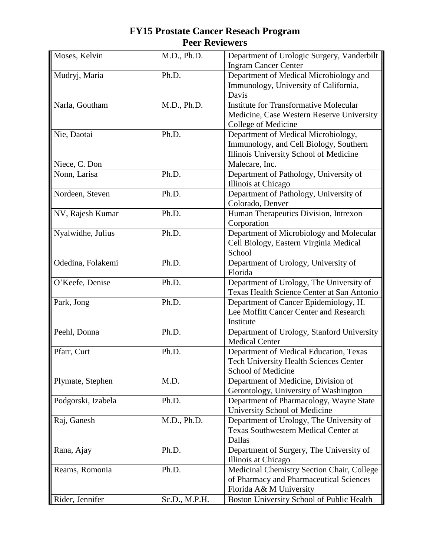| Moses, Kelvin      | M.D., Ph.D.   | Department of Urologic Surgery, Vanderbilt    |
|--------------------|---------------|-----------------------------------------------|
|                    |               | <b>Ingram Cancer Center</b>                   |
| Mudryj, Maria      | Ph.D.         | Department of Medical Microbiology and        |
|                    |               | Immunology, University of California,         |
|                    |               | Davis                                         |
| Narla, Goutham     | M.D., Ph.D.   | <b>Institute for Transformative Molecular</b> |
|                    |               | Medicine, Case Western Reserve University     |
|                    |               | College of Medicine                           |
| Nie, Daotai        | Ph.D.         | Department of Medical Microbiology,           |
|                    |               | Immunology, and Cell Biology, Southern        |
|                    |               | Illinois University School of Medicine        |
| Niece, C. Don      |               | Malecare, Inc.                                |
| Nonn, Larisa       | Ph.D.         | Department of Pathology, University of        |
|                    |               | Illinois at Chicago                           |
| Nordeen, Steven    | Ph.D.         | Department of Pathology, University of        |
|                    |               | Colorado, Denver                              |
| NV, Rajesh Kumar   | Ph.D.         | Human Therapeutics Division, Intrexon         |
|                    |               | Corporation                                   |
| Nyalwidhe, Julius  | Ph.D.         | Department of Microbiology and Molecular      |
|                    |               | Cell Biology, Eastern Virginia Medical        |
|                    |               | School                                        |
| Odedina, Folakemi  | Ph.D.         | Department of Urology, University of          |
|                    |               | Florida                                       |
| O'Keefe, Denise    | Ph.D.         | Department of Urology, The University of      |
|                    |               | Texas Health Science Center at San Antonio    |
| Park, Jong         | Ph.D.         | Department of Cancer Epidemiology, H.         |
|                    |               | Lee Moffitt Cancer Center and Research        |
|                    |               | Institute                                     |
| Peehl, Donna       | Ph.D.         | Department of Urology, Stanford University    |
|                    |               | <b>Medical Center</b>                         |
| Pfarr, Curt        | Ph.D.         | Department of Medical Education, Texas        |
|                    |               | <b>Tech University Health Sciences Center</b> |
|                    |               | School of Medicine                            |
| Plymate, Stephen   | M.D.          | Department of Medicine, Division of           |
|                    |               | Gerontology, University of Washington         |
| Podgorski, Izabela | Ph.D.         | Department of Pharmacology, Wayne State       |
|                    |               | University School of Medicine                 |
| Raj, Ganesh        | M.D., Ph.D.   | Department of Urology, The University of      |
|                    |               | <b>Texas Southwestern Medical Center at</b>   |
|                    |               | Dallas                                        |
| Rana, Ajay         | Ph.D.         | Department of Surgery, The University of      |
|                    |               | Illinois at Chicago                           |
| Reams, Romonia     | Ph.D.         | Medicinal Chemistry Section Chair, College    |
|                    |               | of Pharmacy and Pharmaceutical Sciences       |
|                    |               | Florida A& M University                       |
| Rider, Jennifer    | Sc.D., M.P.H. | Boston University School of Public Health     |
|                    |               |                                               |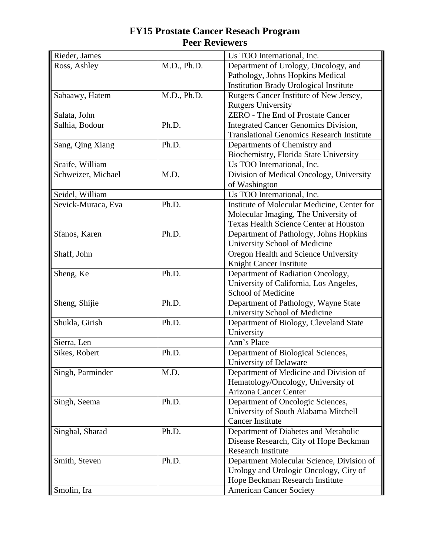| Rieder, James      |             | Us TOO International, Inc.                                   |
|--------------------|-------------|--------------------------------------------------------------|
| Ross, Ashley       | M.D., Ph.D. | Department of Urology, Oncology, and                         |
|                    |             | Pathology, Johns Hopkins Medical                             |
|                    |             | <b>Institution Brady Urological Institute</b>                |
| Sabaawy, Hatem     | M.D., Ph.D. | Rutgers Cancer Institute of New Jersey,                      |
|                    |             | <b>Rutgers University</b>                                    |
| Salata, John       |             | <b>ZERO</b> - The End of Prostate Cancer                     |
| Salhia, Bodour     | Ph.D.       | <b>Integrated Cancer Genomics Division,</b>                  |
|                    |             | <b>Translational Genomics Research Institute</b>             |
| Sang, Qing Xiang   | Ph.D.       | Departments of Chemistry and                                 |
|                    |             | Biochemistry, Florida State University                       |
| Scaife, William    |             | Us TOO International, Inc.                                   |
| Schweizer, Michael | M.D.        | Division of Medical Oncology, University                     |
|                    |             | of Washington                                                |
| Seidel, William    |             | Us TOO International, Inc.                                   |
| Sevick-Muraca, Eva | Ph.D.       | Institute of Molecular Medicine, Center for                  |
|                    |             | Molecular Imaging, The University of                         |
|                    |             | <b>Texas Health Science Center at Houston</b>                |
| Sfanos, Karen      | Ph.D.       | Department of Pathology, Johns Hopkins                       |
|                    |             | University School of Medicine                                |
| Shaff, John        |             | Oregon Health and Science University                         |
|                    |             | Knight Cancer Institute                                      |
| Sheng, Ke          | Ph.D.       | Department of Radiation Oncology,                            |
|                    |             | University of California, Los Angeles,                       |
|                    |             | School of Medicine                                           |
| Sheng, Shijie      | Ph.D.       | Department of Pathology, Wayne State                         |
|                    |             | University School of Medicine                                |
| Shukla, Girish     | Ph.D.       | Department of Biology, Cleveland State                       |
| Sierra, Len        |             | University<br>Ann's Place                                    |
| Sikes, Robert      | Ph.D.       |                                                              |
|                    |             | Department of Biological Sciences,<br>University of Delaware |
| Singh, Parminder   | M.D.        | Department of Medicine and Division of                       |
|                    |             | Hematology/Oncology, University of                           |
|                    |             | Arizona Cancer Center                                        |
| Singh, Seema       | Ph.D.       | Department of Oncologic Sciences,                            |
|                    |             | University of South Alabama Mitchell                         |
|                    |             | <b>Cancer Institute</b>                                      |
| Singhal, Sharad    | Ph.D.       | Department of Diabetes and Metabolic                         |
|                    |             | Disease Research, City of Hope Beckman                       |
|                    |             | <b>Research Institute</b>                                    |
| Smith, Steven      | Ph.D.       | Department Molecular Science, Division of                    |
|                    |             | Urology and Urologic Oncology, City of                       |
|                    |             | Hope Beckman Research Institute                              |
| Smolin, Ira        |             | <b>American Cancer Society</b>                               |
|                    |             |                                                              |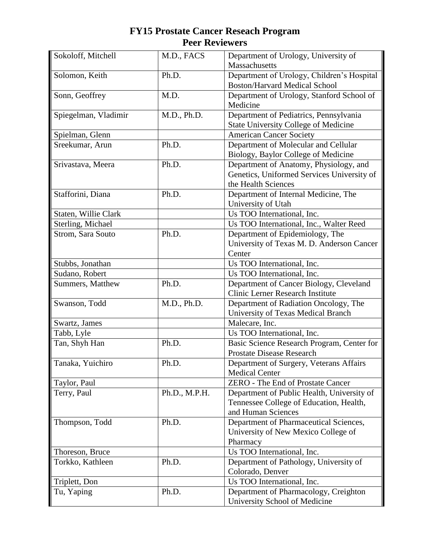| Sokoloff, Mitchell   | M.D., FACS    | Department of Urology, University of        |
|----------------------|---------------|---------------------------------------------|
|                      |               | Massachusetts                               |
| Solomon, Keith       | Ph.D.         | Department of Urology, Children's Hospital  |
|                      |               | <b>Boston/Harvard Medical School</b>        |
| Sonn, Geoffrey       | M.D.          | Department of Urology, Stanford School of   |
|                      |               | Medicine                                    |
| Spiegelman, Vladimir | M.D., Ph.D.   | Department of Pediatrics, Pennsylvania      |
|                      |               | <b>State University College of Medicine</b> |
| Spielman, Glenn      |               | <b>American Cancer Society</b>              |
| Sreekumar, Arun      | Ph.D.         | Department of Molecular and Cellular        |
|                      |               | Biology, Baylor College of Medicine         |
| Srivastava, Meera    | Ph.D.         | Department of Anatomy, Physiology, and      |
|                      |               | Genetics, Uniformed Services University of  |
|                      |               | the Health Sciences                         |
| Stafforini, Diana    | Ph.D.         | Department of Internal Medicine, The        |
|                      |               | University of Utah                          |
| Staten, Willie Clark |               | Us TOO International, Inc.                  |
| Sterling, Michael    |               | Us TOO International, Inc., Walter Reed     |
| Strom, Sara Souto    | Ph.D.         | Department of Epidemiology, The             |
|                      |               | University of Texas M. D. Anderson Cancer   |
|                      |               | Center                                      |
| Stubbs, Jonathan     |               | Us TOO International, Inc.                  |
| Sudano, Robert       |               | Us TOO International, Inc.                  |
| Summers, Matthew     | Ph.D.         | Department of Cancer Biology, Cleveland     |
|                      |               | <b>Clinic Lerner Research Institute</b>     |
| Swanson, Todd        | M.D., Ph.D.   | Department of Radiation Oncology, The       |
|                      |               | University of Texas Medical Branch          |
| Swartz, James        |               | Malecare, Inc.                              |
| Tabb, Lyle           |               | Us TOO International, Inc.                  |
| Tan, Shyh Han        | Ph.D.         | Basic Science Research Program, Center for  |
|                      |               | <b>Prostate Disease Research</b>            |
| Tanaka, Yuichiro     | Ph.D.         | Department of Surgery, Veterans Affairs     |
|                      |               | <b>Medical Center</b>                       |
| Taylor, Paul         |               | <b>ZERO</b> - The End of Prostate Cancer    |
| Terry, Paul          | Ph.D., M.P.H. | Department of Public Health, University of  |
|                      |               | Tennessee College of Education, Health,     |
|                      |               | and Human Sciences                          |
| Thompson, Todd       | Ph.D.         | Department of Pharmaceutical Sciences,      |
|                      |               | University of New Mexico College of         |
|                      |               | Pharmacy                                    |
| Thoreson, Bruce      |               | Us TOO International, Inc.                  |
| Torkko, Kathleen     | Ph.D.         | Department of Pathology, University of      |
|                      |               | Colorado, Denver                            |
| Triplett, Don        |               | Us TOO International, Inc.                  |
| Tu, Yaping           | Ph.D.         | Department of Pharmacology, Creighton       |
|                      |               | University School of Medicine               |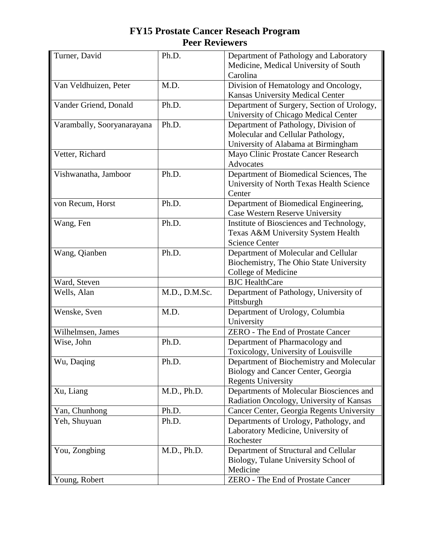| Turner, David              | Ph.D.         | Department of Pathology and Laboratory<br>Medicine, Medical University of South    |
|----------------------------|---------------|------------------------------------------------------------------------------------|
|                            | M.D.          | Carolina                                                                           |
| Van Veldhuizen, Peter      |               | Division of Hematology and Oncology,                                               |
|                            |               | Kansas University Medical Center                                                   |
| Vander Griend, Donald      | Ph.D.         | Department of Surgery, Section of Urology,<br>University of Chicago Medical Center |
| Varambally, Sooryanarayana | Ph.D.         | Department of Pathology, Division of                                               |
|                            |               | Molecular and Cellular Pathology,                                                  |
|                            |               | University of Alabama at Birmingham                                                |
| Vetter, Richard            |               | Mayo Clinic Prostate Cancer Research                                               |
|                            |               | Advocates                                                                          |
| Vishwanatha, Jamboor       | Ph.D.         | Department of Biomedical Sciences, The                                             |
|                            |               | University of North Texas Health Science                                           |
|                            |               | Center                                                                             |
| von Recum, Horst           | Ph.D.         | Department of Biomedical Engineering,                                              |
|                            |               | Case Western Reserve University                                                    |
| Wang, Fen                  | Ph.D.         |                                                                                    |
|                            |               | Institute of Biosciences and Technology,                                           |
|                            |               | Texas A&M University System Health                                                 |
|                            |               | <b>Science Center</b>                                                              |
| Wang, Qianben              | Ph.D.         | Department of Molecular and Cellular                                               |
|                            |               | Biochemistry, The Ohio State University                                            |
|                            |               | College of Medicine                                                                |
| Ward, Steven               |               | <b>BJC</b> HealthCare                                                              |
| Wells, Alan                | M.D., D.M.Sc. | Department of Pathology, University of                                             |
|                            |               | Pittsburgh                                                                         |
| Wenske, Sven               | M.D.          | Department of Urology, Columbia                                                    |
|                            |               | University                                                                         |
| Wilhelmsen, James          |               | ZERO - The End of Prostate Cancer                                                  |
| Wise, John                 | Ph.D.         | Department of Pharmacology and                                                     |
|                            |               | Toxicology, University of Louisville                                               |
| Wu, Daqing                 | Ph.D.         | Department of Biochemistry and Molecular                                           |
|                            |               | Biology and Cancer Center, Georgia                                                 |
|                            |               | <b>Regents University</b>                                                          |
| Xu, Liang                  | M.D., Ph.D.   | Departments of Molecular Biosciences and                                           |
|                            |               | Radiation Oncology, University of Kansas                                           |
| Yan, Chunhong              | Ph.D.         | Cancer Center, Georgia Regents University                                          |
| Yeh, Shuyuan               | Ph.D.         | Departments of Urology, Pathology, and                                             |
|                            |               | Laboratory Medicine, University of                                                 |
|                            |               | Rochester                                                                          |
| You, Zongbing              | M.D., Ph.D.   | Department of Structural and Cellular                                              |
|                            |               | Biology, Tulane University School of                                               |
|                            |               | Medicine                                                                           |
|                            |               |                                                                                    |
| Young, Robert              |               | ZERO - The End of Prostate Cancer                                                  |